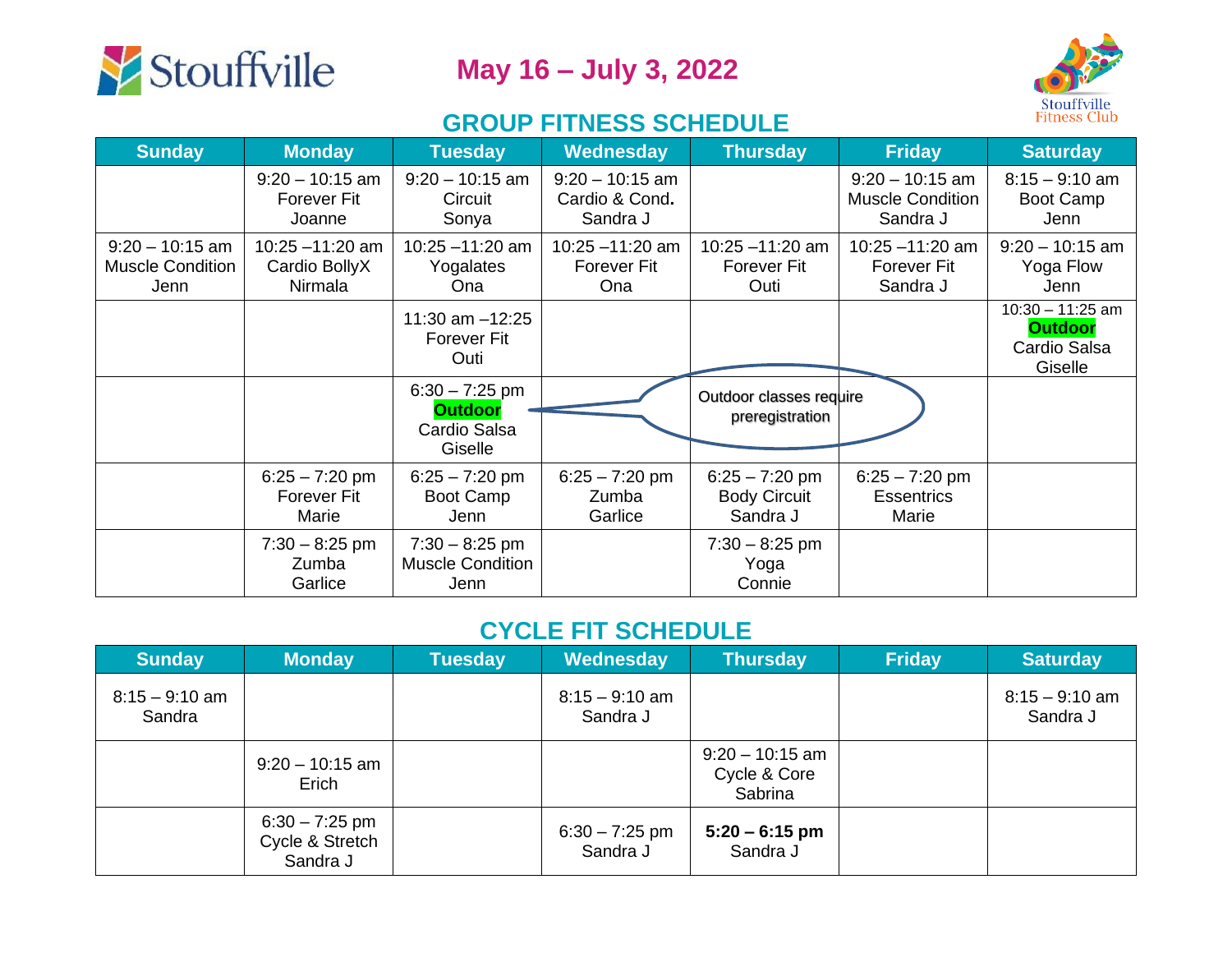



## **GROUP FITNESS SCHEDULE**

| <b>Sunday</b>                                        | <b>Monday</b>                                     | <b>Tuesday</b>                                                | Wednesday                                       | <b>Thursday</b>                                     | <b>Friday</b>                                            | <b>Saturday</b>                                                 |
|------------------------------------------------------|---------------------------------------------------|---------------------------------------------------------------|-------------------------------------------------|-----------------------------------------------------|----------------------------------------------------------|-----------------------------------------------------------------|
|                                                      | $9:20 - 10:15$ am<br><b>Forever Fit</b><br>Joanne | $9:20 - 10:15$ am<br>Circuit<br>Sonya                         | $9:20 - 10:15$ am<br>Cardio & Cond.<br>Sandra J |                                                     | $9:20 - 10:15$ am<br><b>Muscle Condition</b><br>Sandra J | $8:15 - 9:10$ am<br>Boot Camp<br>Jenn                           |
| $9:20 - 10:15$ am<br><b>Muscle Condition</b><br>Jenn | $10:25 - 11:20$ am<br>Cardio BollyX<br>Nirmala    | $10:25 - 11:20$ am<br>Yogalates<br>Ona                        | $10:25 - 11:20$ am<br>Forever Fit<br>Ona        | $10:25 - 11:20$ am<br><b>Forever Fit</b><br>Outi    | $10:25 - 11:20$ am<br><b>Forever Fit</b><br>Sandra J     | $9:20 - 10:15$ am<br>Yoga Flow<br>Jenn                          |
|                                                      |                                                   | 11:30 am $-12:25$<br><b>Forever Fit</b><br>Outi               |                                                 |                                                     |                                                          | $10:30 - 11:25$ am<br><b>Outdoor</b><br>Cardio Salsa<br>Giselle |
|                                                      |                                                   | $6:30 - 7:25$ pm<br><b>Outdoor</b><br>Cardio Salsa<br>Giselle |                                                 | Outdoor classes require<br>preregistration          |                                                          |                                                                 |
|                                                      | $6:25 - 7:20$ pm<br><b>Forever Fit</b><br>Marie   | $6:25 - 7:20$ pm<br>Boot Camp<br>Jenn                         | $6:25 - 7:20$ pm<br>Zumba<br>Garlice            | $6:25 - 7:20$ pm<br><b>Body Circuit</b><br>Sandra J | $6:25 - 7:20$ pm<br><b>Essentrics</b><br>Marie           |                                                                 |
|                                                      | $7:30 - 8:25$ pm<br>Zumba<br>Garlice              | $7:30 - 8:25$ pm<br><b>Muscle Condition</b><br>Jenn           |                                                 | $7:30 - 8:25$ pm<br>Yoga<br>Connie                  |                                                          |                                                                 |

## **CYCLE FIT SCHEDULE**

| <b>Sunday</b>              | <b>Monday</b>                                   | Tuesday | Wednesday                    | <b>Thursday</b>                              | <b>Friday</b> | <b>Saturday</b>              |
|----------------------------|-------------------------------------------------|---------|------------------------------|----------------------------------------------|---------------|------------------------------|
| $8:15 - 9:10$ am<br>Sandra |                                                 |         | $8:15 - 9:10$ am<br>Sandra J |                                              |               | $8:15 - 9:10$ am<br>Sandra J |
|                            | $9:20 - 10:15$ am<br>Erich                      |         |                              | $9:20 - 10:15$ am<br>Cycle & Core<br>Sabrina |               |                              |
|                            | $6:30 - 7:25$ pm<br>Cycle & Stretch<br>Sandra J |         | $6:30 - 7:25$ pm<br>Sandra J | $5:20 - 6:15$ pm<br>Sandra J                 |               |                              |